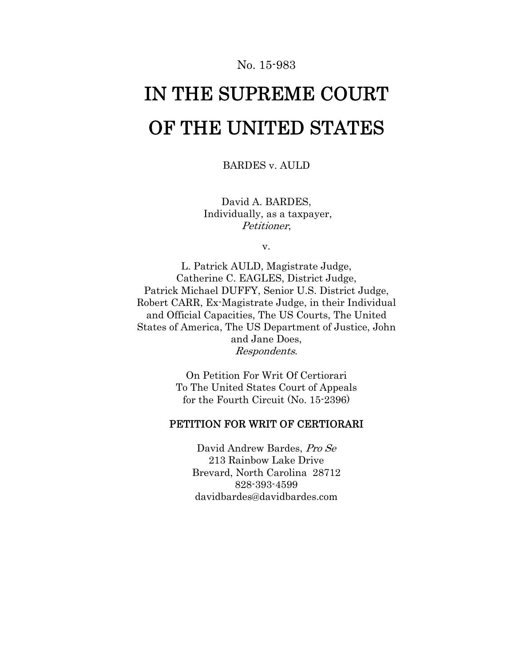## No. 15-983

# IN THE SUPREME COURT OF THE UNITED STATES

BARDES v. AULD

David A. BARDES, Individually, as a taxpayer, Petitioner,

v.

L. Patrick AULD, Magistrate Judge, Catherine C. EAGLES, District Judge, Patrick Michael DUFFY, Senior U.S. District Judge, Robert CARR, Ex-Magistrate Judge, in their Individual and Official Capacities, The US Courts, The United States of America, The US Department of Justice, John and Jane Does, Respondents.

> On Petition For Writ Of Certiorari To The United States Court of Appeals for the Fourth Circuit (No. 15-2396)

## PETITION FOR WRIT OF CERTIORARI

David Andrew Bardes, Pro Se 213 Rainbow Lake Drive Brevard, North Carolina 28712 828-393-4599 davidbardes@davidbardes.com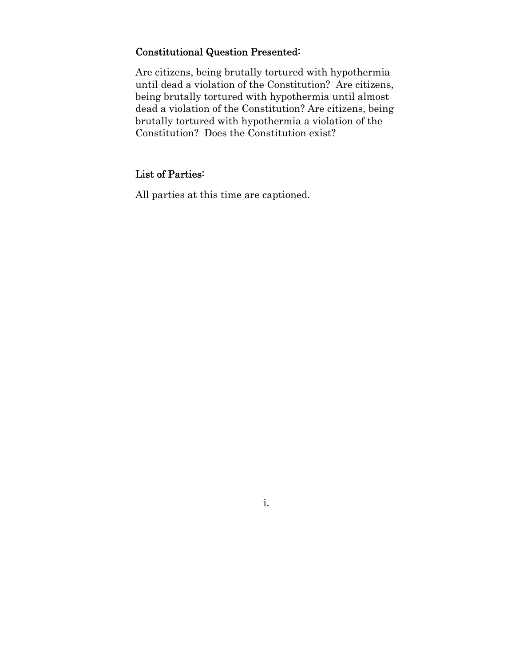# Constitutional Question Presented:

Are citizens, being brutally tortured with hypothermia until dead a violation of the Constitution? Are citizens, being brutally tortured with hypothermia until almost dead a violation of the Constitution? Are citizens, being brutally tortured with hypothermia a violation of the Constitution? Does the Constitution exist?

## List of Parties:

All parties at this time are captioned.

i.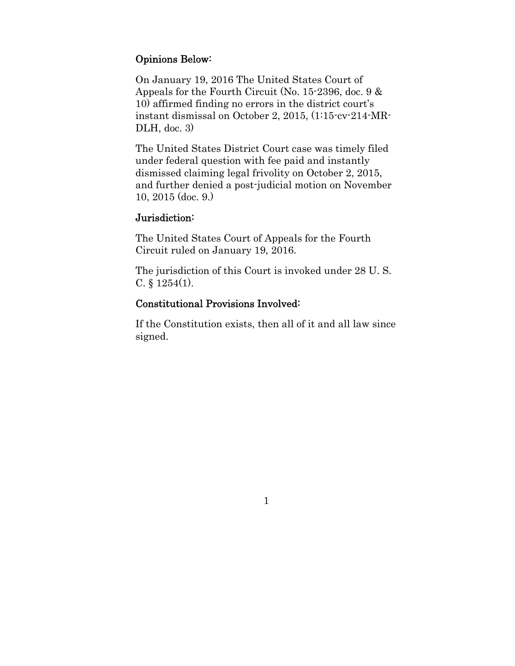# Opinions Below:

On January 19, 2016 The United States Court of Appeals for the Fourth Circuit (No. 15-2396, doc. 9 & 10) affirmed finding no errors in the district court's instant dismissal on October 2, 2015, (1:15-cv-214-MR-DLH, doc. 3)

The United States District Court case was timely filed under federal question with fee paid and instantly dismissed claiming legal frivolity on October 2, 2015, and further denied a post-judicial motion on November 10, 2015 (doc. 9.)

## Jurisdiction:

The United States Court of Appeals for the Fourth Circuit ruled on January 19, 2016.

The jurisdiction of this Court is invoked under 28 U. S. C. § 1254(1).

## Constitutional Provisions Involved:

If the Constitution exists, then all of it and all law since signed.